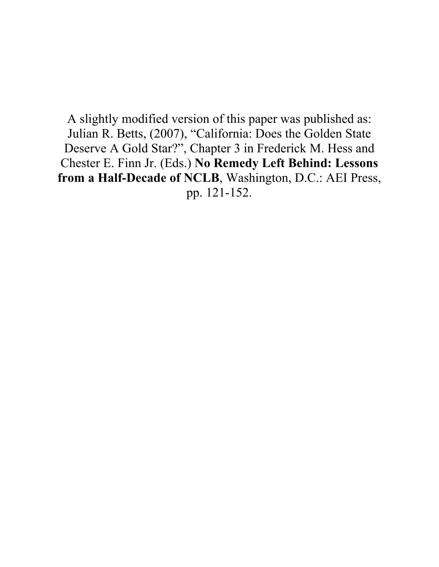A slightly modified version of this paper was published as: Julian R. Betts, (2007), "California: Does the Golden State Deserve A Gold Star?", Chapter 3 in Frederick M. Hess and Chester E. Finn Jr. (Eds.) **No Remedy Left Behind: Lessons from a Half-Decade of NCLB**, Washington, D.C.: AEI Press, pp. 121-152.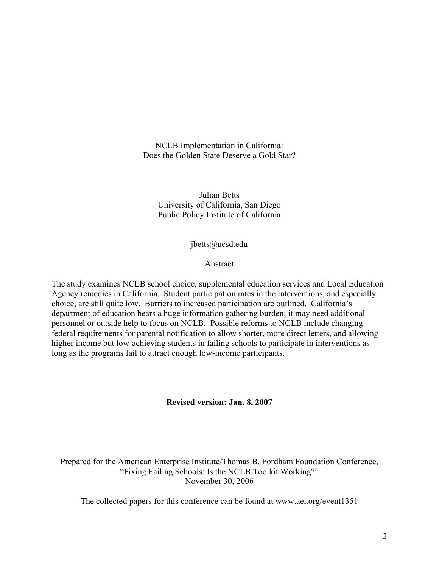NCLB Implementation in California: Does the Golden State Deserve a Gold Star?

Julian Betts University of California, San Diego Public Policy Institute of California

jbetts@ucsd.edu

Abstract

The study examines NCLB school choice, supplemental education services and Local Education Agency remedies in California. Student participation rates in the interventions, and especially choice, are still quite low. Barriers to increased participation are outlined. California's department of education bears a huge information gathering burden; it may need additional personnel or outside help to focus on NCLB. Possible reforms to NCLB include changing federal requirements for parental notification to allow shorter, more direct letters, and allowing higher income but low-achieving students in failing schools to participate in interventions as long as the programs fail to attract enough low-income participants.

**Revised version: Jan. 8, 2007**

Prepared for the American Enterprise Institute/Thomas B. Fordham Foundation Conference, "Fixing Failing Schools: Is the NCLB Toolkit Working?" November 30, 2006

The collected papers for this conference can be found at www.aei.org/event1351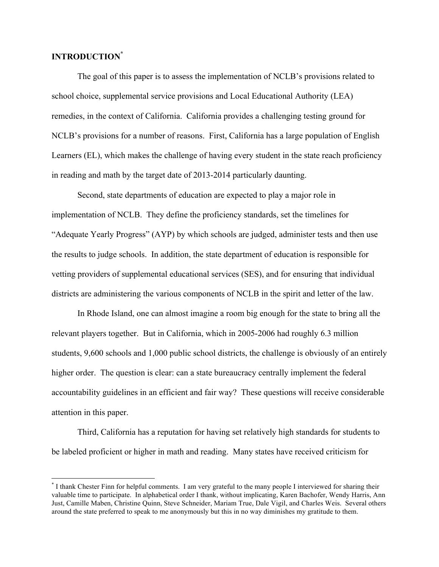### **INTRODUCTION\***

The goal of this paper is to assess the implementation of NCLB's provisions related to school choice, supplemental service provisions and Local Educational Authority (LEA) remedies, in the context of California. California provides a challenging testing ground for NCLB's provisions for a number of reasons. First, California has a large population of English Learners (EL), which makes the challenge of having every student in the state reach proficiency in reading and math by the target date of 2013-2014 particularly daunting.

Second, state departments of education are expected to play a major role in implementation of NCLB. They define the proficiency standards, set the timelines for "Adequate Yearly Progress" (AYP) by which schools are judged, administer tests and then use the results to judge schools. In addition, the state department of education is responsible for vetting providers of supplemental educational services (SES), and for ensuring that individual districts are administering the various components of NCLB in the spirit and letter of the law.

In Rhode Island, one can almost imagine a room big enough for the state to bring all the relevant players together. But in California, which in 2005-2006 had roughly 6.3 million students, 9,600 schools and 1,000 public school districts, the challenge is obviously of an entirely higher order. The question is clear: can a state bureaucracy centrally implement the federal accountability guidelines in an efficient and fair way? These questions will receive considerable attention in this paper.

Third, California has a reputation for having set relatively high standards for students to be labeled proficient or higher in math and reading. Many states have received criticism for

 <sup>\*</sup> I thank Chester Finn for helpful comments. I am very grateful to the many people I interviewed for sharing their valuable time to participate. In alphabetical order I thank, without implicating, Karen Bachofer, Wendy Harris, Ann Just, Camille Maben, Christine Quinn, Steve Schneider, Mariam True, Dale Vigil, and Charles Weis. Several others around the state preferred to speak to me anonymously but this in no way diminishes my gratitude to them.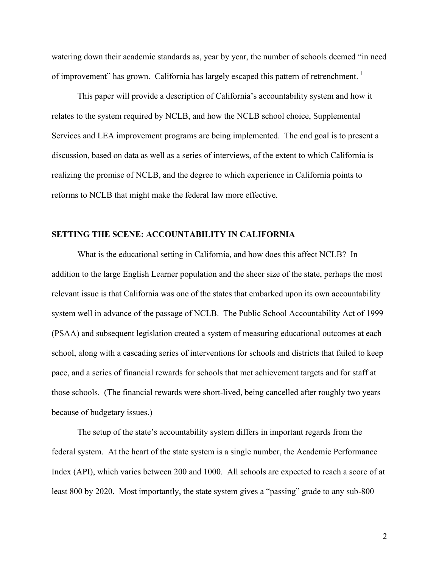watering down their academic standards as, year by year, the number of schools deemed "in need of improvement" has grown. California has largely escaped this pattern of retrenchment.

This paper will provide a description of California's accountability system and how it relates to the system required by NCLB, and how the NCLB school choice, Supplemental Services and LEA improvement programs are being implemented. The end goal is to present a discussion, based on data as well as a series of interviews, of the extent to which California is realizing the promise of NCLB, and the degree to which experience in California points to reforms to NCLB that might make the federal law more effective.

### **SETTING THE SCENE: ACCOUNTABILITY IN CALIFORNIA**

What is the educational setting in California, and how does this affect NCLB? In addition to the large English Learner population and the sheer size of the state, perhaps the most relevant issue is that California was one of the states that embarked upon its own accountability system well in advance of the passage of NCLB. The Public School Accountability Act of 1999 (PSAA) and subsequent legislation created a system of measuring educational outcomes at each school, along with a cascading series of interventions for schools and districts that failed to keep pace, and a series of financial rewards for schools that met achievement targets and for staff at those schools. (The financial rewards were short-lived, being cancelled after roughly two years because of budgetary issues.)

The setup of the state's accountability system differs in important regards from the federal system. At the heart of the state system is a single number, the Academic Performance Index (API), which varies between 200 and 1000. All schools are expected to reach a score of at least 800 by 2020. Most importantly, the state system gives a "passing" grade to any sub-800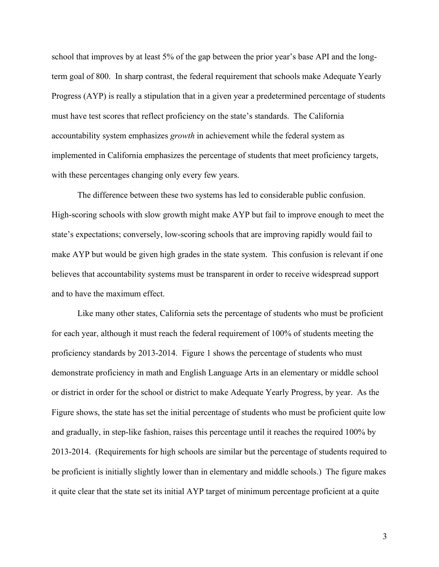school that improves by at least 5% of the gap between the prior year's base API and the longterm goal of 800. In sharp contrast, the federal requirement that schools make Adequate Yearly Progress (AYP) is really a stipulation that in a given year a predetermined percentage of students must have test scores that reflect proficiency on the state's standards. The California accountability system emphasizes *growth* in achievement while the federal system as implemented in California emphasizes the percentage of students that meet proficiency targets, with these percentages changing only every few years.

The difference between these two systems has led to considerable public confusion. High-scoring schools with slow growth might make AYP but fail to improve enough to meet the state's expectations; conversely, low-scoring schools that are improving rapidly would fail to make AYP but would be given high grades in the state system. This confusion is relevant if one believes that accountability systems must be transparent in order to receive widespread support and to have the maximum effect.

Like many other states, California sets the percentage of students who must be proficient for each year, although it must reach the federal requirement of 100% of students meeting the proficiency standards by 2013-2014. Figure 1 shows the percentage of students who must demonstrate proficiency in math and English Language Arts in an elementary or middle school or district in order for the school or district to make Adequate Yearly Progress, by year. As the Figure shows, the state has set the initial percentage of students who must be proficient quite low and gradually, in step-like fashion, raises this percentage until it reaches the required 100% by 2013-2014. (Requirements for high schools are similar but the percentage of students required to be proficient is initially slightly lower than in elementary and middle schools.) The figure makes it quite clear that the state set its initial AYP target of minimum percentage proficient at a quite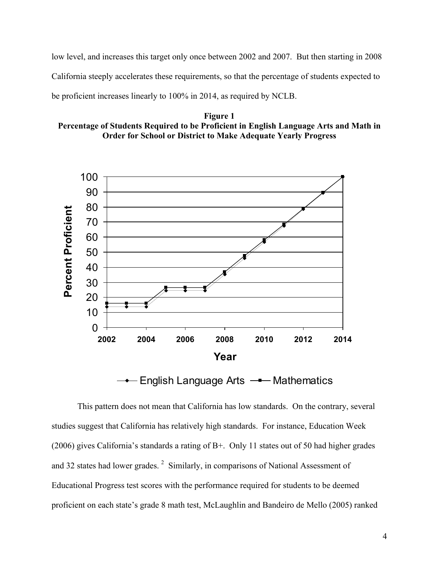low level, and increases this target only once between 2002 and 2007. But then starting in 2008 California steeply accelerates these requirements, so that the percentage of students expected to be proficient increases linearly to 100% in 2014, as required by NCLB.





English Language Arts  $\rightarrow$  Mathematics

This pattern does not mean that California has low standards. On the contrary, several studies suggest that California has relatively high standards. For instance, Education Week (2006) gives California's standards a rating of B+. Only 11 states out of 50 had higher grades and 32 states had lower grades.<sup>2</sup> Similarly, in comparisons of National Assessment of Educational Progress test scores with the performance required for students to be deemed proficient on each state's grade 8 math test, McLaughlin and Bandeiro de Mello (2005) ranked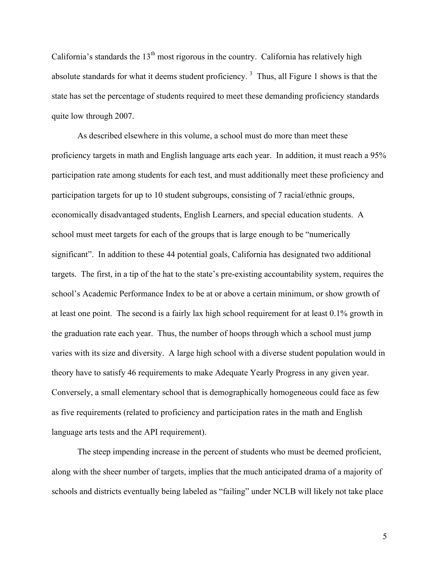California's standards the  $13<sup>th</sup>$  most rigorous in the country. California has relatively high absolute standards for what it deems student proficiency. 3 Thus, all Figure 1 shows is that the state has set the percentage of students required to meet these demanding proficiency standards quite low through 2007.

As described elsewhere in this volume, a school must do more than meet these proficiency targets in math and English language arts each year. In addition, it must reach a 95% participation rate among students for each test, and must additionally meet these proficiency and participation targets for up to 10 student subgroups, consisting of 7 racial/ethnic groups, economically disadvantaged students, English Learners, and special education students. A school must meet targets for each of the groups that is large enough to be "numerically significant". In addition to these 44 potential goals, California has designated two additional targets. The first, in a tip of the hat to the state's pre-existing accountability system, requires the school's Academic Performance Index to be at or above a certain minimum, or show growth of at least one point. The second is a fairly lax high school requirement for at least 0.1% growth in the graduation rate each year. Thus, the number of hoops through which a school must jump varies with its size and diversity. A large high school with a diverse student population would in theory have to satisfy 46 requirements to make Adequate Yearly Progress in any given year. Conversely, a small elementary school that is demographically homogeneous could face as few as five requirements (related to proficiency and participation rates in the math and English language arts tests and the API requirement).

The steep impending increase in the percent of students who must be deemed proficient, along with the sheer number of targets, implies that the much anticipated drama of a majority of schools and districts eventually being labeled as "failing" under NCLB will likely not take place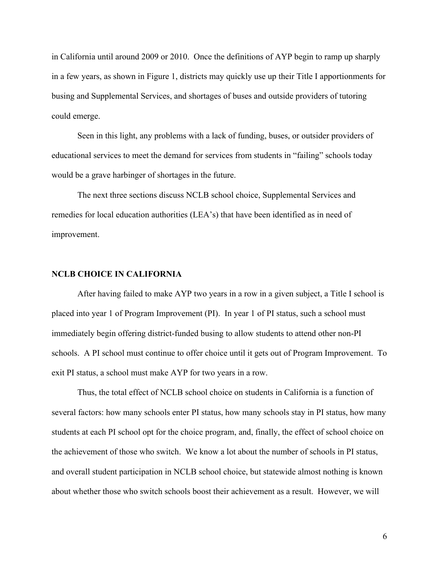in California until around 2009 or 2010. Once the definitions of AYP begin to ramp up sharply in a few years, as shown in Figure 1, districts may quickly use up their Title I apportionments for busing and Supplemental Services, and shortages of buses and outside providers of tutoring could emerge.

Seen in this light, any problems with a lack of funding, buses, or outsider providers of educational services to meet the demand for services from students in "failing" schools today would be a grave harbinger of shortages in the future.

The next three sections discuss NCLB school choice, Supplemental Services and remedies for local education authorities (LEA's) that have been identified as in need of improvement.

### **NCLB CHOICE IN CALIFORNIA**

After having failed to make AYP two years in a row in a given subject, a Title I school is placed into year 1 of Program Improvement (PI). In year 1 of PI status, such a school must immediately begin offering district-funded busing to allow students to attend other non-PI schools. A PI school must continue to offer choice until it gets out of Program Improvement. To exit PI status, a school must make AYP for two years in a row.

Thus, the total effect of NCLB school choice on students in California is a function of several factors: how many schools enter PI status, how many schools stay in PI status, how many students at each PI school opt for the choice program, and, finally, the effect of school choice on the achievement of those who switch. We know a lot about the number of schools in PI status, and overall student participation in NCLB school choice, but statewide almost nothing is known about whether those who switch schools boost their achievement as a result. However, we will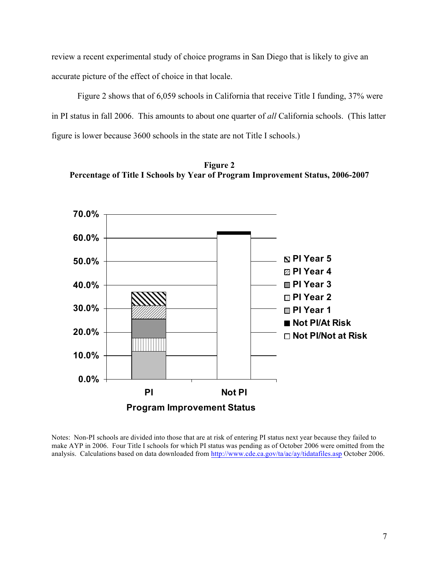review a recent experimental study of choice programs in San Diego that is likely to give an accurate picture of the effect of choice in that locale.

Figure 2 shows that of 6,059 schools in California that receive Title I funding, 37% were in PI status in fall 2006. This amounts to about one quarter of *all* California schools. (This latter figure is lower because 3600 schools in the state are not Title I schools.)

**Figure 2 Percentage of Title I Schools by Year of Program Improvement Status, 2006-2007**



Notes: Non-PI schools are divided into those that are at risk of entering PI status next year because they failed to make AYP in 2006. Four Title I schools for which PI status was pending as of October 2006 were omitted from the analysis. Calculations based on data downloaded from http://www.cde.ca.gov/ta/ac/ay/tidatafiles.asp October 2006.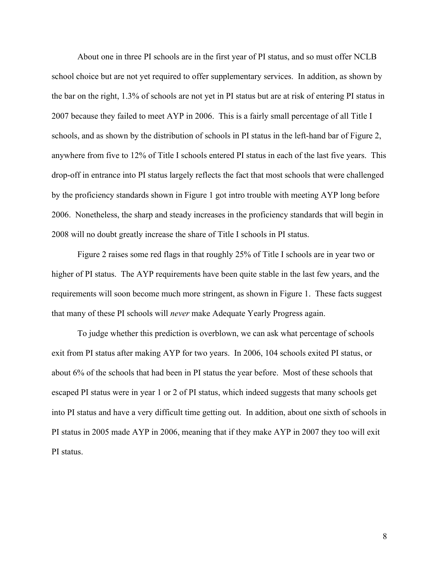About one in three PI schools are in the first year of PI status, and so must offer NCLB school choice but are not yet required to offer supplementary services. In addition, as shown by the bar on the right, 1.3% of schools are not yet in PI status but are at risk of entering PI status in 2007 because they failed to meet AYP in 2006. This is a fairly small percentage of all Title I schools, and as shown by the distribution of schools in PI status in the left-hand bar of Figure 2, anywhere from five to 12% of Title I schools entered PI status in each of the last five years. This drop-off in entrance into PI status largely reflects the fact that most schools that were challenged by the proficiency standards shown in Figure 1 got intro trouble with meeting AYP long before 2006. Nonetheless, the sharp and steady increases in the proficiency standards that will begin in 2008 will no doubt greatly increase the share of Title I schools in PI status.

Figure 2 raises some red flags in that roughly 25% of Title I schools are in year two or higher of PI status. The AYP requirements have been quite stable in the last few years, and the requirements will soon become much more stringent, as shown in Figure 1. These facts suggest that many of these PI schools will *never* make Adequate Yearly Progress again.

To judge whether this prediction is overblown, we can ask what percentage of schools exit from PI status after making AYP for two years. In 2006, 104 schools exited PI status, or about 6% of the schools that had been in PI status the year before. Most of these schools that escaped PI status were in year 1 or 2 of PI status, which indeed suggests that many schools get into PI status and have a very difficult time getting out. In addition, about one sixth of schools in PI status in 2005 made AYP in 2006, meaning that if they make AYP in 2007 they too will exit PI status.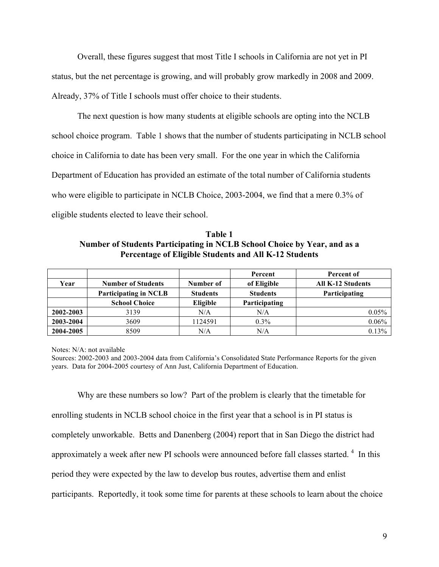Overall, these figures suggest that most Title I schools in California are not yet in PI status, but the net percentage is growing, and will probably grow markedly in 2008 and 2009. Already, 37% of Title I schools must offer choice to their students.

The next question is how many students at eligible schools are opting into the NCLB school choice program. Table 1 shows that the number of students participating in NCLB school choice in California to date has been very small. For the one year in which the California Department of Education has provided an estimate of the total number of California students who were eligible to participate in NCLB Choice, 2003-2004, we find that a mere 0.3% of eligible students elected to leave their school.

**Table 1 Number of Students Participating in NCLB School Choice by Year, and as a Percentage of Eligible Students and All K-12 Students**

|           |                              |                 | Percent         | Percent of               |
|-----------|------------------------------|-----------------|-----------------|--------------------------|
| Year      | <b>Number of Students</b>    | Number of       | of Eligible     | <b>All K-12 Students</b> |
|           | <b>Participating in NCLB</b> | <b>Students</b> | <b>Students</b> | Participating            |
|           | <b>School Choice</b>         | Eligible        | Participating   |                          |
| 2002-2003 | 3139                         | N/A             | N/A             | 0.05%                    |
| 2003-2004 | 3609                         | 1124591         | $0.3\%$         | 0.06%                    |
| 2004-2005 | 8509                         | N/A             | N/A             | 0.13%                    |

Notes: N/A: not available

Why are these numbers so low? Part of the problem is clearly that the timetable for enrolling students in NCLB school choice in the first year that a school is in PI status is completely unworkable. Betts and Danenberg (2004) report that in San Diego the district had approximately a week after new PI schools were announced before fall classes started.<sup>4</sup> In this period they were expected by the law to develop bus routes, advertise them and enlist participants. Reportedly, it took some time for parents at these schools to learn about the choice

Sources: 2002-2003 and 2003-2004 data from California's Consolidated State Performance Reports for the given years. Data for 2004-2005 courtesy of Ann Just, California Department of Education.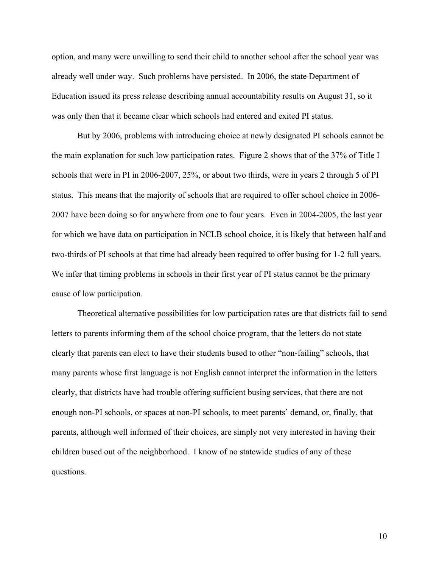option, and many were unwilling to send their child to another school after the school year was already well under way. Such problems have persisted. In 2006, the state Department of Education issued its press release describing annual accountability results on August 31, so it was only then that it became clear which schools had entered and exited PI status.

But by 2006, problems with introducing choice at newly designated PI schools cannot be the main explanation for such low participation rates. Figure 2 shows that of the 37% of Title I schools that were in PI in 2006-2007, 25%, or about two thirds, were in years 2 through 5 of PI status. This means that the majority of schools that are required to offer school choice in 2006- 2007 have been doing so for anywhere from one to four years. Even in 2004-2005, the last year for which we have data on participation in NCLB school choice, it is likely that between half and two-thirds of PI schools at that time had already been required to offer busing for 1-2 full years. We infer that timing problems in schools in their first year of PI status cannot be the primary cause of low participation.

Theoretical alternative possibilities for low participation rates are that districts fail to send letters to parents informing them of the school choice program, that the letters do not state clearly that parents can elect to have their students bused to other "non-failing" schools, that many parents whose first language is not English cannot interpret the information in the letters clearly, that districts have had trouble offering sufficient busing services, that there are not enough non-PI schools, or spaces at non-PI schools, to meet parents' demand, or, finally, that parents, although well informed of their choices, are simply not very interested in having their children bused out of the neighborhood. I know of no statewide studies of any of these questions.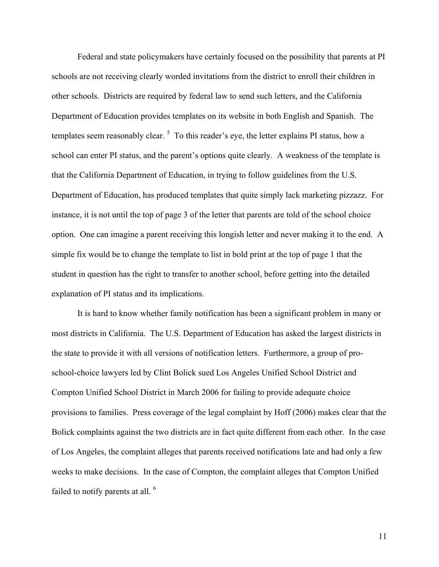Federal and state policymakers have certainly focused on the possibility that parents at PI schools are not receiving clearly worded invitations from the district to enroll their children in other schools. Districts are required by federal law to send such letters, and the California Department of Education provides templates on its website in both English and Spanish. The templates seem reasonably clear.  $5\text{ To this reader's eye, the letter explains PI status, how a$ school can enter PI status, and the parent's options quite clearly. A weakness of the template is that the California Department of Education, in trying to follow guidelines from the U.S. Department of Education, has produced templates that quite simply lack marketing pizzazz. For instance, it is not until the top of page 3 of the letter that parents are told of the school choice option. One can imagine a parent receiving this longish letter and never making it to the end. A simple fix would be to change the template to list in bold print at the top of page 1 that the student in question has the right to transfer to another school, before getting into the detailed explanation of PI status and its implications.

It is hard to know whether family notification has been a significant problem in many or most districts in California. The U.S. Department of Education has asked the largest districts in the state to provide it with all versions of notification letters. Furthermore, a group of proschool-choice lawyers led by Clint Bolick sued Los Angeles Unified School District and Compton Unified School District in March 2006 for failing to provide adequate choice provisions to families. Press coverage of the legal complaint by Hoff (2006) makes clear that the Bolick complaints against the two districts are in fact quite different from each other. In the case of Los Angeles, the complaint alleges that parents received notifications late and had only a few weeks to make decisions. In the case of Compton, the complaint alleges that Compton Unified failed to notify parents at all.  $6$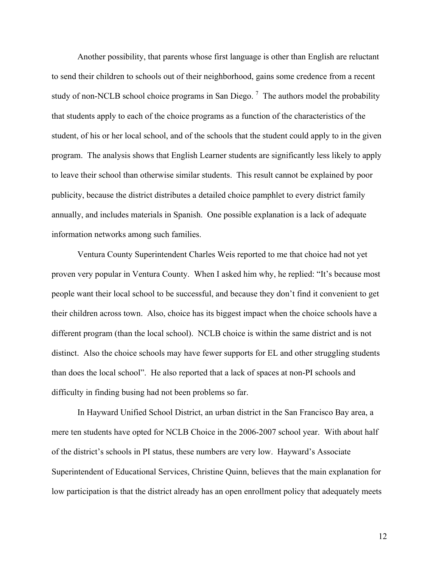Another possibility, that parents whose first language is other than English are reluctant to send their children to schools out of their neighborhood, gains some credence from a recent study of non-NCLB school choice programs in San Diego.<sup>7</sup> The authors model the probability that students apply to each of the choice programs as a function of the characteristics of the student, of his or her local school, and of the schools that the student could apply to in the given program. The analysis shows that English Learner students are significantly less likely to apply to leave their school than otherwise similar students. This result cannot be explained by poor publicity, because the district distributes a detailed choice pamphlet to every district family annually, and includes materials in Spanish. One possible explanation is a lack of adequate information networks among such families.

Ventura County Superintendent Charles Weis reported to me that choice had not yet proven very popular in Ventura County. When I asked him why, he replied: "It's because most people want their local school to be successful, and because they don't find it convenient to get their children across town. Also, choice has its biggest impact when the choice schools have a different program (than the local school). NCLB choice is within the same district and is not distinct. Also the choice schools may have fewer supports for EL and other struggling students than does the local school". He also reported that a lack of spaces at non-PI schools and difficulty in finding busing had not been problems so far.

In Hayward Unified School District, an urban district in the San Francisco Bay area, a mere ten students have opted for NCLB Choice in the 2006-2007 school year. With about half of the district's schools in PI status, these numbers are very low. Hayward's Associate Superintendent of Educational Services, Christine Quinn, believes that the main explanation for low participation is that the district already has an open enrollment policy that adequately meets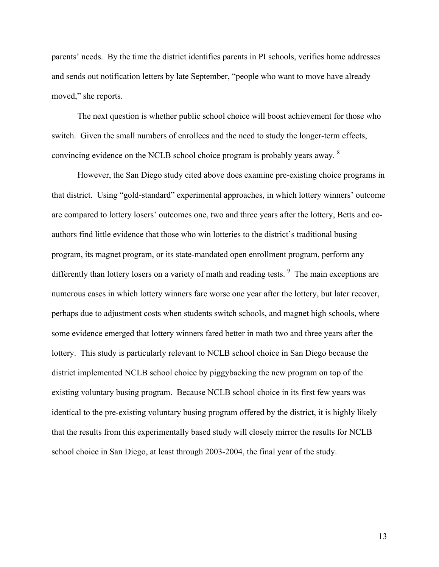parents' needs. By the time the district identifies parents in PI schools, verifies home addresses and sends out notification letters by late September, "people who want to move have already moved," she reports.

The next question is whether public school choice will boost achievement for those who switch. Given the small numbers of enrollees and the need to study the longer-term effects, convincing evidence on the NCLB school choice program is probably years away.  $8$ 

However, the San Diego study cited above does examine pre-existing choice programs in that district. Using "gold-standard" experimental approaches, in which lottery winners' outcome are compared to lottery losers' outcomes one, two and three years after the lottery, Betts and coauthors find little evidence that those who win lotteries to the district's traditional busing program, its magnet program, or its state-mandated open enrollment program, perform any differently than lottery losers on a variety of math and reading tests. <sup>9</sup> The main exceptions are numerous cases in which lottery winners fare worse one year after the lottery, but later recover, perhaps due to adjustment costs when students switch schools, and magnet high schools, where some evidence emerged that lottery winners fared better in math two and three years after the lottery. This study is particularly relevant to NCLB school choice in San Diego because the district implemented NCLB school choice by piggybacking the new program on top of the existing voluntary busing program. Because NCLB school choice in its first few years was identical to the pre-existing voluntary busing program offered by the district, it is highly likely that the results from this experimentally based study will closely mirror the results for NCLB school choice in San Diego, at least through 2003-2004, the final year of the study.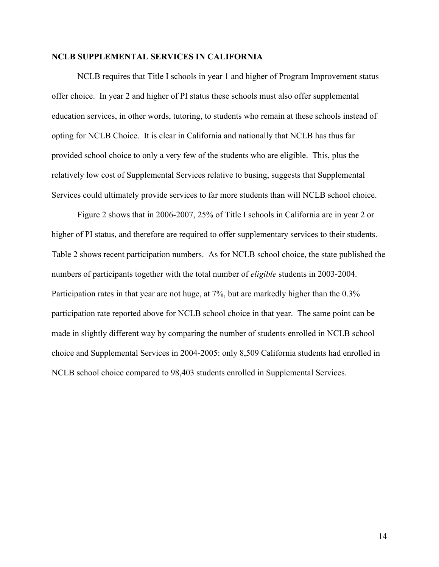### **NCLB SUPPLEMENTAL SERVICES IN CALIFORNIA**

NCLB requires that Title I schools in year 1 and higher of Program Improvement status offer choice. In year 2 and higher of PI status these schools must also offer supplemental education services, in other words, tutoring, to students who remain at these schools instead of opting for NCLB Choice. It is clear in California and nationally that NCLB has thus far provided school choice to only a very few of the students who are eligible. This, plus the relatively low cost of Supplemental Services relative to busing, suggests that Supplemental Services could ultimately provide services to far more students than will NCLB school choice.

Figure 2 shows that in 2006-2007, 25% of Title I schools in California are in year 2 or higher of PI status, and therefore are required to offer supplementary services to their students. Table 2 shows recent participation numbers. As for NCLB school choice, the state published the numbers of participants together with the total number of *eligible* students in 2003-2004. Participation rates in that year are not huge, at 7%, but are markedly higher than the 0.3% participation rate reported above for NCLB school choice in that year. The same point can be made in slightly different way by comparing the number of students enrolled in NCLB school choice and Supplemental Services in 2004-2005: only 8,509 California students had enrolled in NCLB school choice compared to 98,403 students enrolled in Supplemental Services.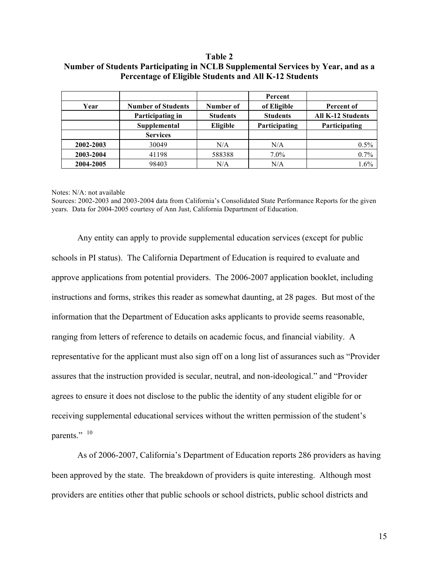### **Table 2 Number of Students Participating in NCLB Supplemental Services by Year, and as a Percentage of Eligible Students and All K-12 Students**

|           |                           |                 | Percent         |                          |
|-----------|---------------------------|-----------------|-----------------|--------------------------|
| Year      | <b>Number of Students</b> | Number of       | of Eligible     | Percent of               |
|           | Participating in          | <b>Students</b> | <b>Students</b> | <b>All K-12 Students</b> |
|           | Supplemental              | Eligible        | Participating   | Participating            |
|           | <b>Services</b>           |                 |                 |                          |
| 2002-2003 | 30049                     | N/A             | N/A             | 0.5%                     |
| 2003-2004 | 41198                     | 588388          | $7.0\%$         | 0.7%                     |
| 2004-2005 | 98403                     | N/A             | N/A             | 1.6%                     |

#### Notes: N/A: not available

Sources: 2002-2003 and 2003-2004 data from California's Consolidated State Performance Reports for the given years. Data for 2004-2005 courtesy of Ann Just, California Department of Education.

Any entity can apply to provide supplemental education services (except for public schools in PI status). The California Department of Education is required to evaluate and approve applications from potential providers. The 2006-2007 application booklet, including instructions and forms, strikes this reader as somewhat daunting, at 28 pages. But most of the information that the Department of Education asks applicants to provide seems reasonable, ranging from letters of reference to details on academic focus, and financial viability. A representative for the applicant must also sign off on a long list of assurances such as "Provider assures that the instruction provided is secular, neutral, and non-ideological." and "Provider agrees to ensure it does not disclose to the public the identity of any student eligible for or receiving supplemental educational services without the written permission of the student's parents." 10

As of 2006-2007, California's Department of Education reports 286 providers as having been approved by the state. The breakdown of providers is quite interesting. Although most providers are entities other that public schools or school districts, public school districts and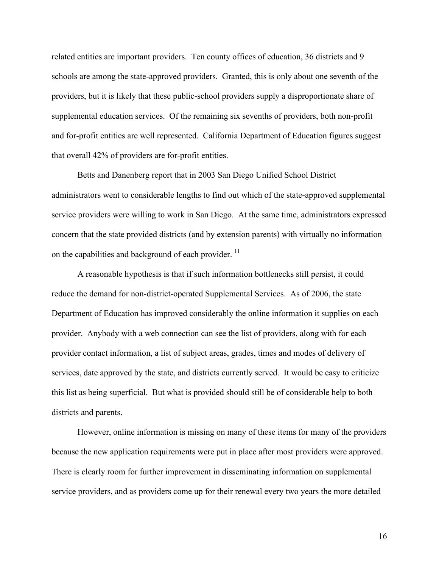related entities are important providers. Ten county offices of education, 36 districts and 9 schools are among the state-approved providers. Granted, this is only about one seventh of the providers, but it is likely that these public-school providers supply a disproportionate share of supplemental education services. Of the remaining six sevenths of providers, both non-profit and for-profit entities are well represented. California Department of Education figures suggest that overall 42% of providers are for-profit entities.

Betts and Danenberg report that in 2003 San Diego Unified School District administrators went to considerable lengths to find out which of the state-approved supplemental service providers were willing to work in San Diego. At the same time, administrators expressed concern that the state provided districts (and by extension parents) with virtually no information on the capabilities and background of each provider.<sup>11</sup>

A reasonable hypothesis is that if such information bottlenecks still persist, it could reduce the demand for non-district-operated Supplemental Services. As of 2006, the state Department of Education has improved considerably the online information it supplies on each provider. Anybody with a web connection can see the list of providers, along with for each provider contact information, a list of subject areas, grades, times and modes of delivery of services, date approved by the state, and districts currently served. It would be easy to criticize this list as being superficial. But what is provided should still be of considerable help to both districts and parents.

However, online information is missing on many of these items for many of the providers because the new application requirements were put in place after most providers were approved. There is clearly room for further improvement in disseminating information on supplemental service providers, and as providers come up for their renewal every two years the more detailed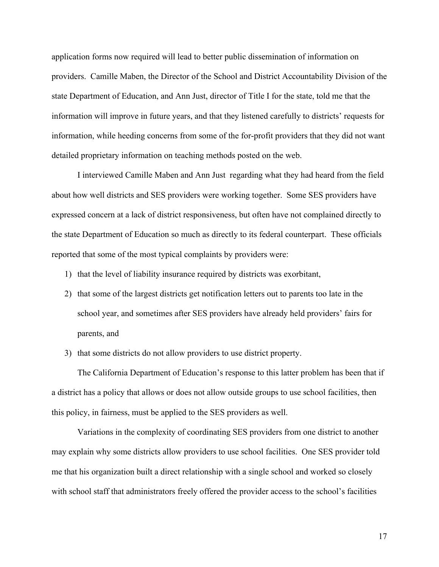application forms now required will lead to better public dissemination of information on providers. Camille Maben, the Director of the School and District Accountability Division of the state Department of Education, and Ann Just, director of Title I for the state, told me that the information will improve in future years, and that they listened carefully to districts' requests for information, while heeding concerns from some of the for-profit providers that they did not want detailed proprietary information on teaching methods posted on the web.

I interviewed Camille Maben and Ann Just regarding what they had heard from the field about how well districts and SES providers were working together. Some SES providers have expressed concern at a lack of district responsiveness, but often have not complained directly to the state Department of Education so much as directly to its federal counterpart. These officials reported that some of the most typical complaints by providers were:

- 1) that the level of liability insurance required by districts was exorbitant,
- 2) that some of the largest districts get notification letters out to parents too late in the school year, and sometimes after SES providers have already held providers' fairs for parents, and
- 3) that some districts do not allow providers to use district property.

The California Department of Education's response to this latter problem has been that if a district has a policy that allows or does not allow outside groups to use school facilities, then this policy, in fairness, must be applied to the SES providers as well.

Variations in the complexity of coordinating SES providers from one district to another may explain why some districts allow providers to use school facilities. One SES provider told me that his organization built a direct relationship with a single school and worked so closely with school staff that administrators freely offered the provider access to the school's facilities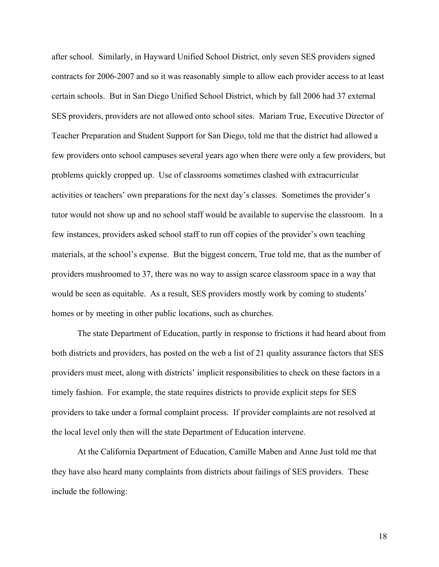after school. Similarly, in Hayward Unified School District, only seven SES providers signed contracts for 2006-2007 and so it was reasonably simple to allow each provider access to at least certain schools. But in San Diego Unified School District, which by fall 2006 had 37 external SES providers, providers are not allowed onto school sites. Mariam True, Executive Director of Teacher Preparation and Student Support for San Diego, told me that the district had allowed a few providers onto school campuses several years ago when there were only a few providers, but problems quickly cropped up. Use of classrooms sometimes clashed with extracurricular activities or teachers' own preparations for the next day's classes. Sometimes the provider's tutor would not show up and no school staff would be available to supervise the classroom. In a few instances, providers asked school staff to run off copies of the provider's own teaching materials, at the school's expense. But the biggest concern, True told me, that as the number of providers mushroomed to 37, there was no way to assign scarce classroom space in a way that would be seen as equitable. As a result, SES providers mostly work by coming to students' homes or by meeting in other public locations, such as churches.

The state Department of Education, partly in response to frictions it had heard about from both districts and providers, has posted on the web a list of 21 quality assurance factors that SES providers must meet, along with districts' implicit responsibilities to check on these factors in a timely fashion. For example, the state requires districts to provide explicit steps for SES providers to take under a formal complaint process. If provider complaints are not resolved at the local level only then will the state Department of Education intervene.

At the California Department of Education, Camille Maben and Anne Just told me that they have also heard many complaints from districts about failings of SES providers. These include the following: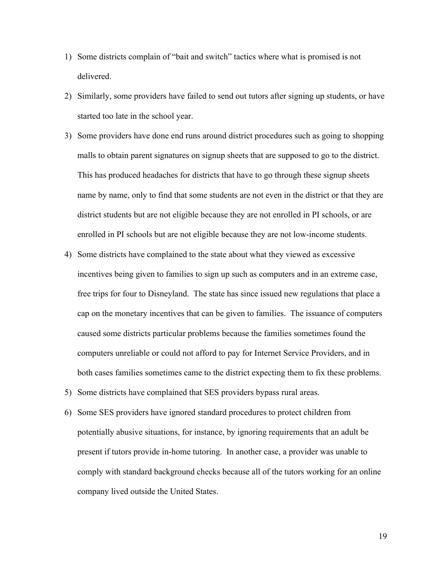- 1) Some districts complain of "bait and switch" tactics where what is promised is not delivered.
- 2) Similarly, some providers have failed to send out tutors after signing up students, or have started too late in the school year.
- 3) Some providers have done end runs around district procedures such as going to shopping malls to obtain parent signatures on signup sheets that are supposed to go to the district. This has produced headaches for districts that have to go through these signup sheets name by name, only to find that some students are not even in the district or that they are district students but are not eligible because they are not enrolled in PI schools, or are enrolled in PI schools but are not eligible because they are not low-income students.
- 4) Some districts have complained to the state about what they viewed as excessive incentives being given to families to sign up such as computers and in an extreme case, free trips for four to Disneyland. The state has since issued new regulations that place a cap on the monetary incentives that can be given to families. The issuance of computers caused some districts particular problems because the families sometimes found the computers unreliable or could not afford to pay for Internet Service Providers, and in both cases families sometimes came to the district expecting them to fix these problems.
- 5) Some districts have complained that SES providers bypass rural areas.
- 6) Some SES providers have ignored standard procedures to protect children from potentially abusive situations, for instance, by ignoring requirements that an adult be present if tutors provide in-home tutoring. In another case, a provider was unable to comply with standard background checks because all of the tutors working for an online company lived outside the United States.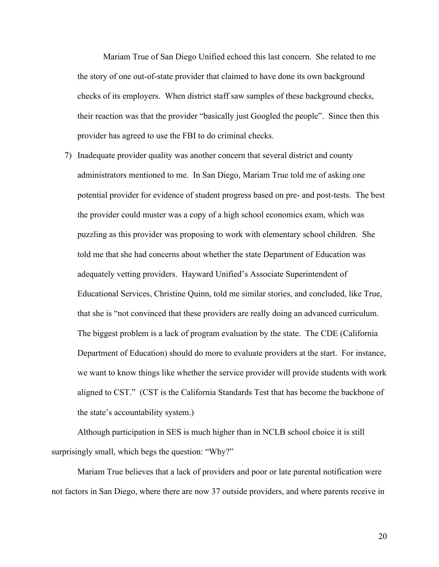Mariam True of San Diego Unified echoed this last concern. She related to me the story of one out-of-state provider that claimed to have done its own background checks of its employers. When district staff saw samples of these background checks, their reaction was that the provider "basically just Googled the people". Since then this provider has agreed to use the FBI to do criminal checks.

7) Inadequate provider quality was another concern that several district and county administrators mentioned to me. In San Diego, Mariam True told me of asking one potential provider for evidence of student progress based on pre- and post-tests. The best the provider could muster was a copy of a high school economics exam, which was puzzling as this provider was proposing to work with elementary school children. She told me that she had concerns about whether the state Department of Education was adequately vetting providers. Hayward Unified's Associate Superintendent of Educational Services, Christine Quinn, told me similar stories, and concluded, like True, that she is "not convinced that these providers are really doing an advanced curriculum. The biggest problem is a lack of program evaluation by the state. The CDE (California Department of Education) should do more to evaluate providers at the start. For instance, we want to know things like whether the service provider will provide students with work aligned to CST." (CST is the California Standards Test that has become the backbone of the state's accountability system.)

Although participation in SES is much higher than in NCLB school choice it is still surprisingly small, which begs the question: "Why?"

Mariam True believes that a lack of providers and poor or late parental notification were not factors in San Diego, where there are now 37 outside providers, and where parents receive in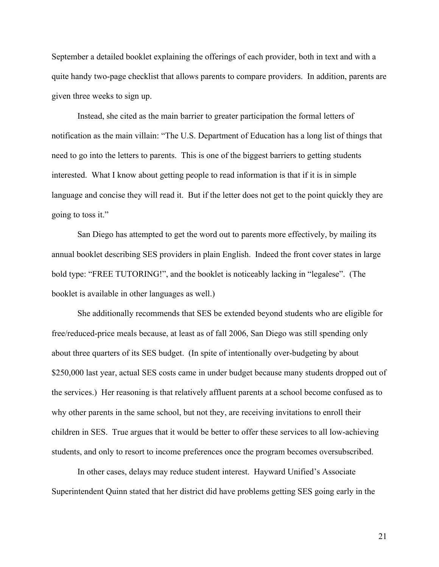September a detailed booklet explaining the offerings of each provider, both in text and with a quite handy two-page checklist that allows parents to compare providers. In addition, parents are given three weeks to sign up.

Instead, she cited as the main barrier to greater participation the formal letters of notification as the main villain: "The U.S. Department of Education has a long list of things that need to go into the letters to parents. This is one of the biggest barriers to getting students interested. What I know about getting people to read information is that if it is in simple language and concise they will read it. But if the letter does not get to the point quickly they are going to toss it."

San Diego has attempted to get the word out to parents more effectively, by mailing its annual booklet describing SES providers in plain English. Indeed the front cover states in large bold type: "FREE TUTORING!", and the booklet is noticeably lacking in "legalese". (The booklet is available in other languages as well.)

She additionally recommends that SES be extended beyond students who are eligible for free/reduced-price meals because, at least as of fall 2006, San Diego was still spending only about three quarters of its SES budget. (In spite of intentionally over-budgeting by about \$250,000 last year, actual SES costs came in under budget because many students dropped out of the services.) Her reasoning is that relatively affluent parents at a school become confused as to why other parents in the same school, but not they, are receiving invitations to enroll their children in SES. True argues that it would be better to offer these services to all low-achieving students, and only to resort to income preferences once the program becomes oversubscribed.

In other cases, delays may reduce student interest. Hayward Unified's Associate Superintendent Quinn stated that her district did have problems getting SES going early in the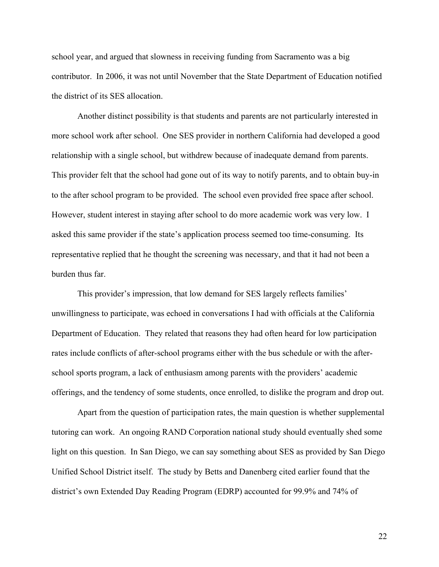school year, and argued that slowness in receiving funding from Sacramento was a big contributor. In 2006, it was not until November that the State Department of Education notified the district of its SES allocation.

Another distinct possibility is that students and parents are not particularly interested in more school work after school. One SES provider in northern California had developed a good relationship with a single school, but withdrew because of inadequate demand from parents. This provider felt that the school had gone out of its way to notify parents, and to obtain buy-in to the after school program to be provided. The school even provided free space after school. However, student interest in staying after school to do more academic work was very low. I asked this same provider if the state's application process seemed too time-consuming. Its representative replied that he thought the screening was necessary, and that it had not been a burden thus far.

This provider's impression, that low demand for SES largely reflects families' unwillingness to participate, was echoed in conversations I had with officials at the California Department of Education. They related that reasons they had often heard for low participation rates include conflicts of after-school programs either with the bus schedule or with the afterschool sports program, a lack of enthusiasm among parents with the providers' academic offerings, and the tendency of some students, once enrolled, to dislike the program and drop out.

Apart from the question of participation rates, the main question is whether supplemental tutoring can work. An ongoing RAND Corporation national study should eventually shed some light on this question. In San Diego, we can say something about SES as provided by San Diego Unified School District itself. The study by Betts and Danenberg cited earlier found that the district's own Extended Day Reading Program (EDRP) accounted for 99.9% and 74% of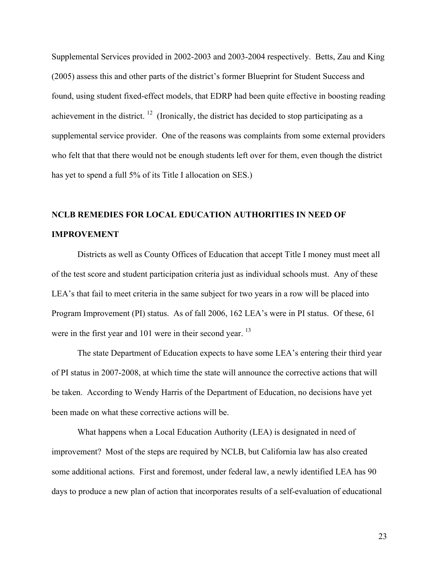Supplemental Services provided in 2002-2003 and 2003-2004 respectively. Betts, Zau and King (2005) assess this and other parts of the district's former Blueprint for Student Success and found, using student fixed-effect models, that EDRP had been quite effective in boosting reading achievement in the district.  $12$  (Ironically, the district has decided to stop participating as a supplemental service provider. One of the reasons was complaints from some external providers who felt that that there would not be enough students left over for them, even though the district has yet to spend a full 5% of its Title I allocation on SES.)

# **NCLB REMEDIES FOR LOCAL EDUCATION AUTHORITIES IN NEED OF IMPROVEMENT**

Districts as well as County Offices of Education that accept Title I money must meet all of the test score and student participation criteria just as individual schools must. Any of these LEA's that fail to meet criteria in the same subject for two years in a row will be placed into Program Improvement (PI) status. As of fall 2006, 162 LEA's were in PI status. Of these, 61 were in the first year and 101 were in their second year. <sup>13</sup>

The state Department of Education expects to have some LEA's entering their third year of PI status in 2007-2008, at which time the state will announce the corrective actions that will be taken. According to Wendy Harris of the Department of Education, no decisions have yet been made on what these corrective actions will be.

What happens when a Local Education Authority (LEA) is designated in need of improvement? Most of the steps are required by NCLB, but California law has also created some additional actions. First and foremost, under federal law, a newly identified LEA has 90 days to produce a new plan of action that incorporates results of a self-evaluation of educational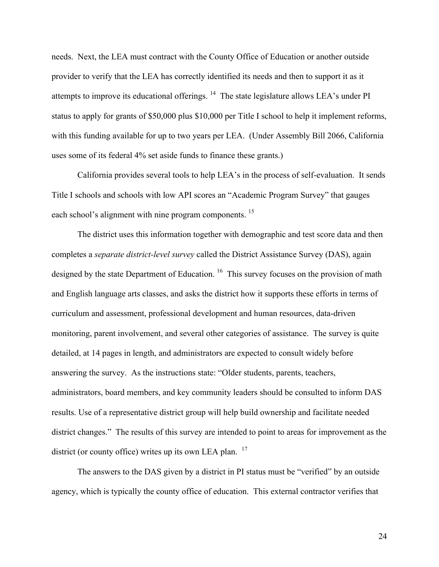needs. Next, the LEA must contract with the County Office of Education or another outside provider to verify that the LEA has correctly identified its needs and then to support it as it attempts to improve its educational offerings. 14 The state legislature allows LEA's under PI status to apply for grants of \$50,000 plus \$10,000 per Title I school to help it implement reforms, with this funding available for up to two years per LEA. (Under Assembly Bill 2066, California uses some of its federal 4% set aside funds to finance these grants.)

California provides several tools to help LEA's in the process of self-evaluation. It sends Title I schools and schools with low API scores an "Academic Program Survey" that gauges each school's alignment with nine program components. <sup>15</sup>

The district uses this information together with demographic and test score data and then completes a *separate district-level survey* called the District Assistance Survey (DAS), again designed by the state Department of Education.<sup>16</sup> This survey focuses on the provision of math and English language arts classes, and asks the district how it supports these efforts in terms of curriculum and assessment, professional development and human resources, data-driven monitoring, parent involvement, and several other categories of assistance. The survey is quite detailed, at 14 pages in length, and administrators are expected to consult widely before answering the survey. As the instructions state: "Older students, parents, teachers, administrators, board members, and key community leaders should be consulted to inform DAS results. Use of a representative district group will help build ownership and facilitate needed district changes." The results of this survey are intended to point to areas for improvement as the district (or county office) writes up its own LEA plan. <sup>17</sup>

The answers to the DAS given by a district in PI status must be "verified" by an outside agency, which is typically the county office of education. This external contractor verifies that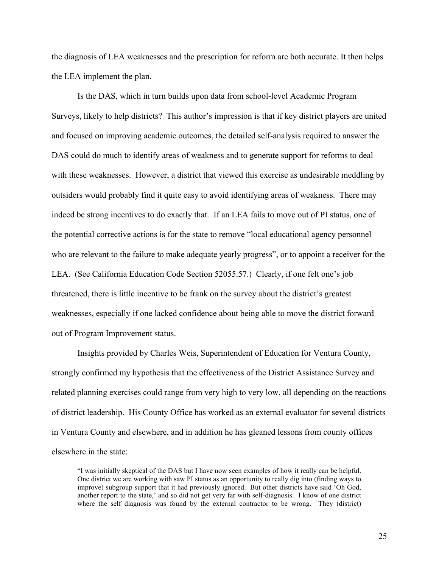the diagnosis of LEA weaknesses and the prescription for reform are both accurate. It then helps the LEA implement the plan.

Is the DAS, which in turn builds upon data from school-level Academic Program Surveys, likely to help districts? This author's impression is that if key district players are united and focused on improving academic outcomes, the detailed self-analysis required to answer the DAS could do much to identify areas of weakness and to generate support for reforms to deal with these weaknesses. However, a district that viewed this exercise as undesirable meddling by outsiders would probably find it quite easy to avoid identifying areas of weakness. There may indeed be strong incentives to do exactly that. If an LEA fails to move out of PI status, one of the potential corrective actions is for the state to remove "local educational agency personnel who are relevant to the failure to make adequate yearly progress", or to appoint a receiver for the LEA. (See California Education Code Section 52055.57.) Clearly, if one felt one's job threatened, there is little incentive to be frank on the survey about the district's greatest weaknesses, especially if one lacked confidence about being able to move the district forward out of Program Improvement status.

Insights provided by Charles Weis, Superintendent of Education for Ventura County, strongly confirmed my hypothesis that the effectiveness of the District Assistance Survey and related planning exercises could range from very high to very low, all depending on the reactions of district leadership. His County Office has worked as an external evaluator for several districts in Ventura County and elsewhere, and in addition he has gleaned lessons from county offices elsewhere in the state:

"I was initially skeptical of the DAS but I have now seen examples of how it really can be helpful. One district we are working with saw PI status as an opportunity to really dig into (finding ways to improve) subgroup support that it had previously ignored. But other districts have said 'Oh God, another report to the state,' and so did not get very far with self-diagnosis. I know of one district where the self diagnosis was found by the external contractor to be wrong. They (district)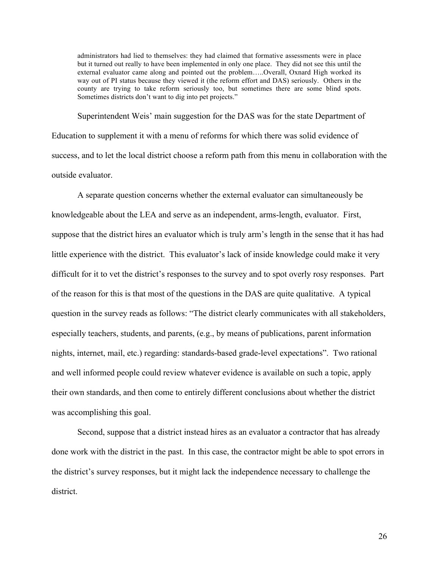administrators had lied to themselves: they had claimed that formative assessments were in place but it turned out really to have been implemented in only one place. They did not see this until the external evaluator came along and pointed out the problem…..Overall, Oxnard High worked its way out of PI status because they viewed it (the reform effort and DAS) seriously. Others in the county are trying to take reform seriously too, but sometimes there are some blind spots. Sometimes districts don't want to dig into pet projects."

Superintendent Weis' main suggestion for the DAS was for the state Department of Education to supplement it with a menu of reforms for which there was solid evidence of success, and to let the local district choose a reform path from this menu in collaboration with the outside evaluator.

A separate question concerns whether the external evaluator can simultaneously be knowledgeable about the LEA and serve as an independent, arms-length, evaluator. First, suppose that the district hires an evaluator which is truly arm's length in the sense that it has had little experience with the district. This evaluator's lack of inside knowledge could make it very difficult for it to vet the district's responses to the survey and to spot overly rosy responses. Part of the reason for this is that most of the questions in the DAS are quite qualitative. A typical question in the survey reads as follows: "The district clearly communicates with all stakeholders, especially teachers, students, and parents, (e.g., by means of publications, parent information nights, internet, mail, etc.) regarding: standards-based grade-level expectations". Two rational and well informed people could review whatever evidence is available on such a topic, apply their own standards, and then come to entirely different conclusions about whether the district was accomplishing this goal.

Second, suppose that a district instead hires as an evaluator a contractor that has already done work with the district in the past. In this case, the contractor might be able to spot errors in the district's survey responses, but it might lack the independence necessary to challenge the district.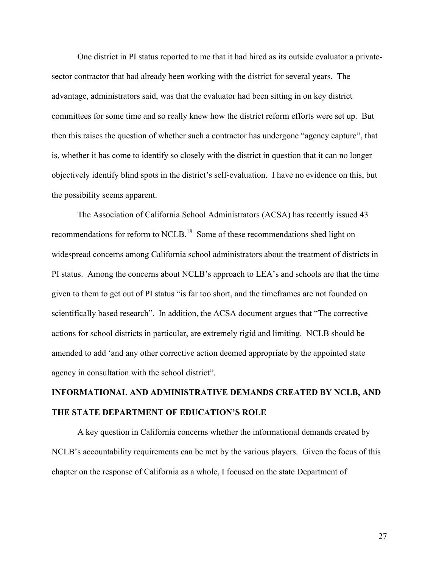One district in PI status reported to me that it had hired as its outside evaluator a privatesector contractor that had already been working with the district for several years. The advantage, administrators said, was that the evaluator had been sitting in on key district committees for some time and so really knew how the district reform efforts were set up. But then this raises the question of whether such a contractor has undergone "agency capture", that is, whether it has come to identify so closely with the district in question that it can no longer objectively identify blind spots in the district's self-evaluation. I have no evidence on this, but the possibility seems apparent.

The Association of California School Administrators (ACSA) has recently issued 43 recommendations for reform to NCLB.<sup>18</sup> Some of these recommendations shed light on widespread concerns among California school administrators about the treatment of districts in PI status. Among the concerns about NCLB's approach to LEA's and schools are that the time given to them to get out of PI status "is far too short, and the timeframes are not founded on scientifically based research". In addition, the ACSA document argues that "The corrective actions for school districts in particular, are extremely rigid and limiting. NCLB should be amended to add 'and any other corrective action deemed appropriate by the appointed state agency in consultation with the school district".

## **INFORMATIONAL AND ADMINISTRATIVE DEMANDS CREATED BY NCLB, AND THE STATE DEPARTMENT OF EDUCATION'S ROLE**

A key question in California concerns whether the informational demands created by NCLB's accountability requirements can be met by the various players. Given the focus of this chapter on the response of California as a whole, I focused on the state Department of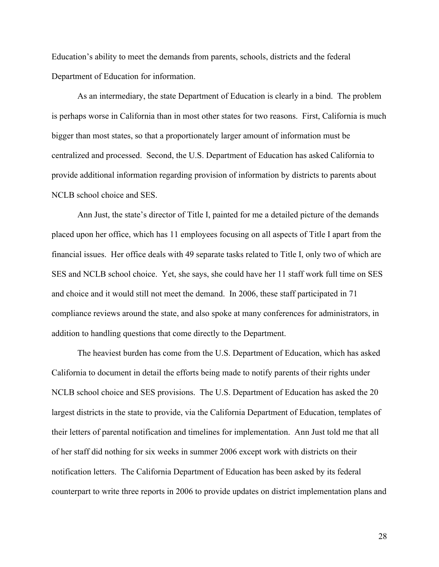Education's ability to meet the demands from parents, schools, districts and the federal Department of Education for information.

As an intermediary, the state Department of Education is clearly in a bind. The problem is perhaps worse in California than in most other states for two reasons. First, California is much bigger than most states, so that a proportionately larger amount of information must be centralized and processed. Second, the U.S. Department of Education has asked California to provide additional information regarding provision of information by districts to parents about NCLB school choice and SES.

Ann Just, the state's director of Title I, painted for me a detailed picture of the demands placed upon her office, which has 11 employees focusing on all aspects of Title I apart from the financial issues. Her office deals with 49 separate tasks related to Title I, only two of which are SES and NCLB school choice. Yet, she says, she could have her 11 staff work full time on SES and choice and it would still not meet the demand. In 2006, these staff participated in 71 compliance reviews around the state, and also spoke at many conferences for administrators, in addition to handling questions that come directly to the Department.

The heaviest burden has come from the U.S. Department of Education, which has asked California to document in detail the efforts being made to notify parents of their rights under NCLB school choice and SES provisions. The U.S. Department of Education has asked the 20 largest districts in the state to provide, via the California Department of Education, templates of their letters of parental notification and timelines for implementation. Ann Just told me that all of her staff did nothing for six weeks in summer 2006 except work with districts on their notification letters. The California Department of Education has been asked by its federal counterpart to write three reports in 2006 to provide updates on district implementation plans and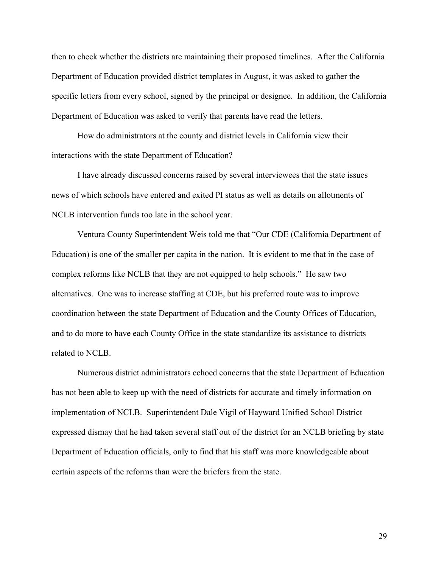then to check whether the districts are maintaining their proposed timelines. After the California Department of Education provided district templates in August, it was asked to gather the specific letters from every school, signed by the principal or designee. In addition, the California Department of Education was asked to verify that parents have read the letters.

How do administrators at the county and district levels in California view their interactions with the state Department of Education?

I have already discussed concerns raised by several interviewees that the state issues news of which schools have entered and exited PI status as well as details on allotments of NCLB intervention funds too late in the school year.

Ventura County Superintendent Weis told me that "Our CDE (California Department of Education) is one of the smaller per capita in the nation. It is evident to me that in the case of complex reforms like NCLB that they are not equipped to help schools." He saw two alternatives. One was to increase staffing at CDE, but his preferred route was to improve coordination between the state Department of Education and the County Offices of Education, and to do more to have each County Office in the state standardize its assistance to districts related to NCLB.

Numerous district administrators echoed concerns that the state Department of Education has not been able to keep up with the need of districts for accurate and timely information on implementation of NCLB. Superintendent Dale Vigil of Hayward Unified School District expressed dismay that he had taken several staff out of the district for an NCLB briefing by state Department of Education officials, only to find that his staff was more knowledgeable about certain aspects of the reforms than were the briefers from the state.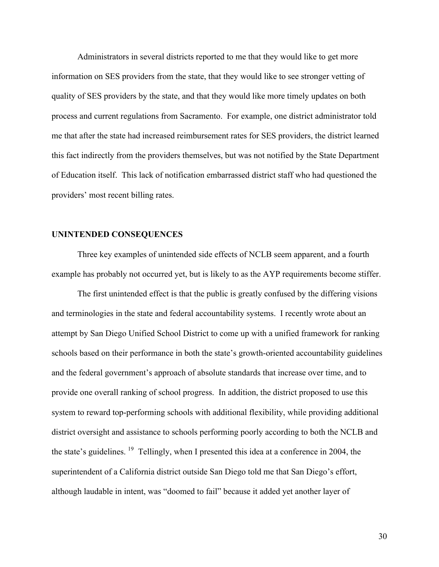Administrators in several districts reported to me that they would like to get more information on SES providers from the state, that they would like to see stronger vetting of quality of SES providers by the state, and that they would like more timely updates on both process and current regulations from Sacramento. For example, one district administrator told me that after the state had increased reimbursement rates for SES providers, the district learned this fact indirectly from the providers themselves, but was not notified by the State Department of Education itself. This lack of notification embarrassed district staff who had questioned the providers' most recent billing rates.

### **UNINTENDED CONSEQUENCES**

Three key examples of unintended side effects of NCLB seem apparent, and a fourth example has probably not occurred yet, but is likely to as the AYP requirements become stiffer.

The first unintended effect is that the public is greatly confused by the differing visions and terminologies in the state and federal accountability systems. I recently wrote about an attempt by San Diego Unified School District to come up with a unified framework for ranking schools based on their performance in both the state's growth-oriented accountability guidelines and the federal government's approach of absolute standards that increase over time, and to provide one overall ranking of school progress. In addition, the district proposed to use this system to reward top-performing schools with additional flexibility, while providing additional district oversight and assistance to schools performing poorly according to both the NCLB and the state's guidelines. 19 Tellingly, when I presented this idea at a conference in 2004, the superintendent of a California district outside San Diego told me that San Diego's effort, although laudable in intent, was "doomed to fail" because it added yet another layer of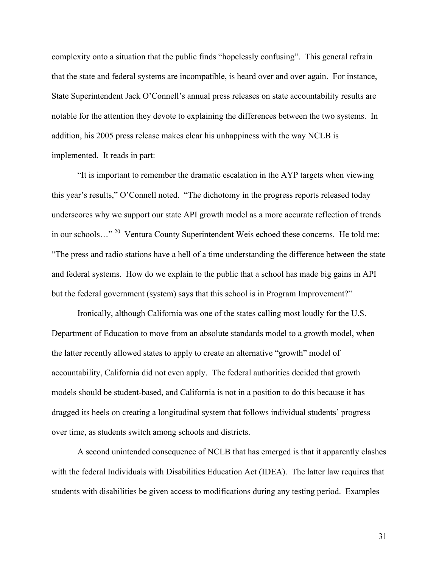complexity onto a situation that the public finds "hopelessly confusing". This general refrain that the state and federal systems are incompatible, is heard over and over again. For instance, State Superintendent Jack O'Connell's annual press releases on state accountability results are notable for the attention they devote to explaining the differences between the two systems. In addition, his 2005 press release makes clear his unhappiness with the way NCLB is implemented. It reads in part:

"It is important to remember the dramatic escalation in the AYP targets when viewing this year's results," O'Connell noted. "The dichotomy in the progress reports released today underscores why we support our state API growth model as a more accurate reflection of trends in our schools…"<sup>20</sup> Ventura County Superintendent Weis echoed these concerns. He told me: "The press and radio stations have a hell of a time understanding the difference between the state and federal systems. How do we explain to the public that a school has made big gains in API but the federal government (system) says that this school is in Program Improvement?"

Ironically, although California was one of the states calling most loudly for the U.S. Department of Education to move from an absolute standards model to a growth model, when the latter recently allowed states to apply to create an alternative "growth" model of accountability, California did not even apply. The federal authorities decided that growth models should be student-based, and California is not in a position to do this because it has dragged its heels on creating a longitudinal system that follows individual students' progress over time, as students switch among schools and districts.

A second unintended consequence of NCLB that has emerged is that it apparently clashes with the federal Individuals with Disabilities Education Act (IDEA). The latter law requires that students with disabilities be given access to modifications during any testing period. Examples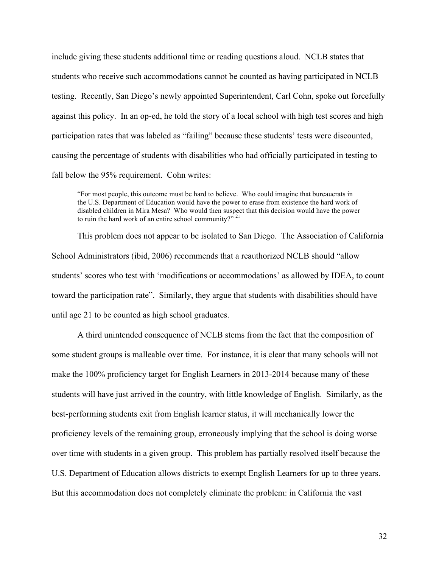include giving these students additional time or reading questions aloud. NCLB states that students who receive such accommodations cannot be counted as having participated in NCLB testing. Recently, San Diego's newly appointed Superintendent, Carl Cohn, spoke out forcefully against this policy. In an op-ed, he told the story of a local school with high test scores and high participation rates that was labeled as "failing" because these students' tests were discounted, causing the percentage of students with disabilities who had officially participated in testing to fall below the 95% requirement. Cohn writes:

"For most people, this outcome must be hard to believe. Who could imagine that bureaucrats in the U.S. Department of Education would have the power to erase from existence the hard work of disabled children in Mira Mesa? Who would then suspect that this decision would have the power to ruin the hard work of an entire school community?"  $21$ 

This problem does not appear to be isolated to San Diego. The Association of California School Administrators (ibid, 2006) recommends that a reauthorized NCLB should "allow students' scores who test with 'modifications or accommodations' as allowed by IDEA, to count toward the participation rate". Similarly, they argue that students with disabilities should have until age 21 to be counted as high school graduates.

A third unintended consequence of NCLB stems from the fact that the composition of some student groups is malleable over time. For instance, it is clear that many schools will not make the 100% proficiency target for English Learners in 2013-2014 because many of these students will have just arrived in the country, with little knowledge of English. Similarly, as the best-performing students exit from English learner status, it will mechanically lower the proficiency levels of the remaining group, erroneously implying that the school is doing worse over time with students in a given group. This problem has partially resolved itself because the U.S. Department of Education allows districts to exempt English Learners for up to three years. But this accommodation does not completely eliminate the problem: in California the vast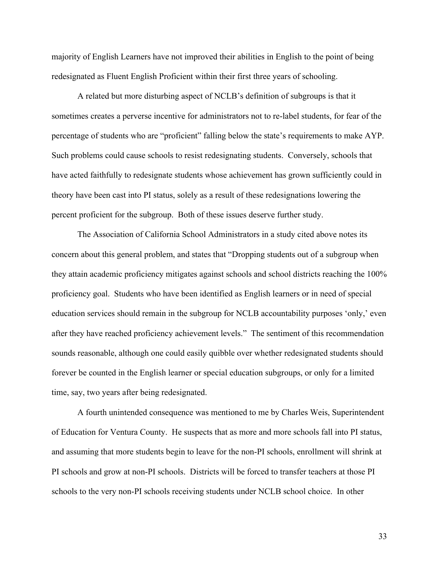majority of English Learners have not improved their abilities in English to the point of being redesignated as Fluent English Proficient within their first three years of schooling.

A related but more disturbing aspect of NCLB's definition of subgroups is that it sometimes creates a perverse incentive for administrators not to re-label students, for fear of the percentage of students who are "proficient" falling below the state's requirements to make AYP. Such problems could cause schools to resist redesignating students. Conversely, schools that have acted faithfully to redesignate students whose achievement has grown sufficiently could in theory have been cast into PI status, solely as a result of these redesignations lowering the percent proficient for the subgroup. Both of these issues deserve further study.

The Association of California School Administrators in a study cited above notes its concern about this general problem, and states that "Dropping students out of a subgroup when they attain academic proficiency mitigates against schools and school districts reaching the 100% proficiency goal. Students who have been identified as English learners or in need of special education services should remain in the subgroup for NCLB accountability purposes 'only,' even after they have reached proficiency achievement levels." The sentiment of this recommendation sounds reasonable, although one could easily quibble over whether redesignated students should forever be counted in the English learner or special education subgroups, or only for a limited time, say, two years after being redesignated.

A fourth unintended consequence was mentioned to me by Charles Weis, Superintendent of Education for Ventura County. He suspects that as more and more schools fall into PI status, and assuming that more students begin to leave for the non-PI schools, enrollment will shrink at PI schools and grow at non-PI schools. Districts will be forced to transfer teachers at those PI schools to the very non-PI schools receiving students under NCLB school choice. In other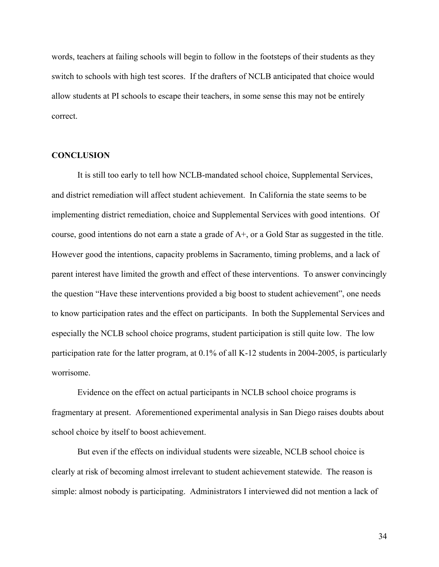words, teachers at failing schools will begin to follow in the footsteps of their students as they switch to schools with high test scores. If the drafters of NCLB anticipated that choice would allow students at PI schools to escape their teachers, in some sense this may not be entirely correct.

### **CONCLUSION**

It is still too early to tell how NCLB-mandated school choice, Supplemental Services, and district remediation will affect student achievement. In California the state seems to be implementing district remediation, choice and Supplemental Services with good intentions. Of course, good intentions do not earn a state a grade of A+, or a Gold Star as suggested in the title. However good the intentions, capacity problems in Sacramento, timing problems, and a lack of parent interest have limited the growth and effect of these interventions. To answer convincingly the question "Have these interventions provided a big boost to student achievement", one needs to know participation rates and the effect on participants. In both the Supplemental Services and especially the NCLB school choice programs, student participation is still quite low. The low participation rate for the latter program, at 0.1% of all K-12 students in 2004-2005, is particularly worrisome.

Evidence on the effect on actual participants in NCLB school choice programs is fragmentary at present. Aforementioned experimental analysis in San Diego raises doubts about school choice by itself to boost achievement.

But even if the effects on individual students were sizeable, NCLB school choice is clearly at risk of becoming almost irrelevant to student achievement statewide. The reason is simple: almost nobody is participating. Administrators I interviewed did not mention a lack of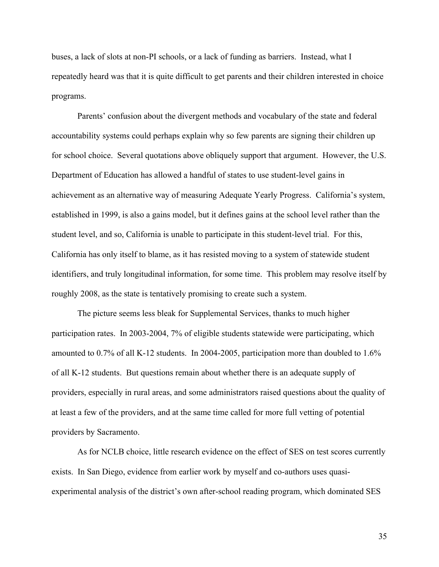buses, a lack of slots at non-PI schools, or a lack of funding as barriers. Instead, what I repeatedly heard was that it is quite difficult to get parents and their children interested in choice programs.

Parents' confusion about the divergent methods and vocabulary of the state and federal accountability systems could perhaps explain why so few parents are signing their children up for school choice. Several quotations above obliquely support that argument. However, the U.S. Department of Education has allowed a handful of states to use student-level gains in achievement as an alternative way of measuring Adequate Yearly Progress. California's system, established in 1999, is also a gains model, but it defines gains at the school level rather than the student level, and so, California is unable to participate in this student-level trial. For this, California has only itself to blame, as it has resisted moving to a system of statewide student identifiers, and truly longitudinal information, for some time. This problem may resolve itself by roughly 2008, as the state is tentatively promising to create such a system.

The picture seems less bleak for Supplemental Services, thanks to much higher participation rates. In 2003-2004, 7% of eligible students statewide were participating, which amounted to 0.7% of all K-12 students. In 2004-2005, participation more than doubled to 1.6% of all K-12 students. But questions remain about whether there is an adequate supply of providers, especially in rural areas, and some administrators raised questions about the quality of at least a few of the providers, and at the same time called for more full vetting of potential providers by Sacramento.

As for NCLB choice, little research evidence on the effect of SES on test scores currently exists. In San Diego, evidence from earlier work by myself and co-authors uses quasiexperimental analysis of the district's own after-school reading program, which dominated SES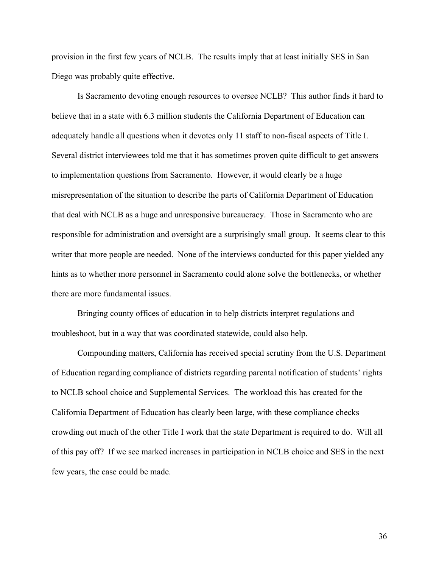provision in the first few years of NCLB. The results imply that at least initially SES in San Diego was probably quite effective.

Is Sacramento devoting enough resources to oversee NCLB? This author finds it hard to believe that in a state with 6.3 million students the California Department of Education can adequately handle all questions when it devotes only 11 staff to non-fiscal aspects of Title I. Several district interviewees told me that it has sometimes proven quite difficult to get answers to implementation questions from Sacramento. However, it would clearly be a huge misrepresentation of the situation to describe the parts of California Department of Education that deal with NCLB as a huge and unresponsive bureaucracy. Those in Sacramento who are responsible for administration and oversight are a surprisingly small group. It seems clear to this writer that more people are needed. None of the interviews conducted for this paper yielded any hints as to whether more personnel in Sacramento could alone solve the bottlenecks, or whether there are more fundamental issues.

Bringing county offices of education in to help districts interpret regulations and troubleshoot, but in a way that was coordinated statewide, could also help.

Compounding matters, California has received special scrutiny from the U.S. Department of Education regarding compliance of districts regarding parental notification of students' rights to NCLB school choice and Supplemental Services. The workload this has created for the California Department of Education has clearly been large, with these compliance checks crowding out much of the other Title I work that the state Department is required to do. Will all of this pay off? If we see marked increases in participation in NCLB choice and SES in the next few years, the case could be made.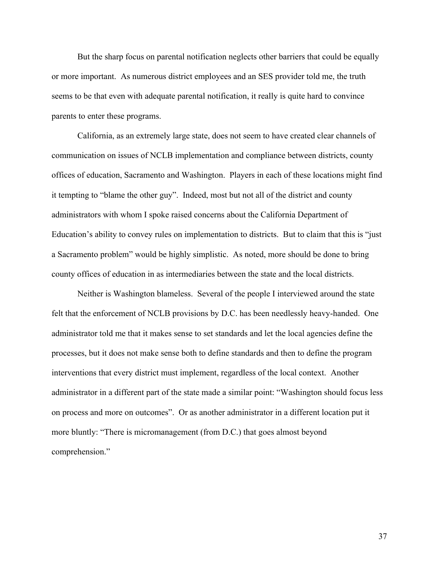But the sharp focus on parental notification neglects other barriers that could be equally or more important. As numerous district employees and an SES provider told me, the truth seems to be that even with adequate parental notification, it really is quite hard to convince parents to enter these programs.

California, as an extremely large state, does not seem to have created clear channels of communication on issues of NCLB implementation and compliance between districts, county offices of education, Sacramento and Washington. Players in each of these locations might find it tempting to "blame the other guy". Indeed, most but not all of the district and county administrators with whom I spoke raised concerns about the California Department of Education's ability to convey rules on implementation to districts. But to claim that this is "just a Sacramento problem" would be highly simplistic. As noted, more should be done to bring county offices of education in as intermediaries between the state and the local districts.

Neither is Washington blameless. Several of the people I interviewed around the state felt that the enforcement of NCLB provisions by D.C. has been needlessly heavy-handed. One administrator told me that it makes sense to set standards and let the local agencies define the processes, but it does not make sense both to define standards and then to define the program interventions that every district must implement, regardless of the local context. Another administrator in a different part of the state made a similar point: "Washington should focus less on process and more on outcomes". Or as another administrator in a different location put it more bluntly: "There is micromanagement (from D.C.) that goes almost beyond comprehension."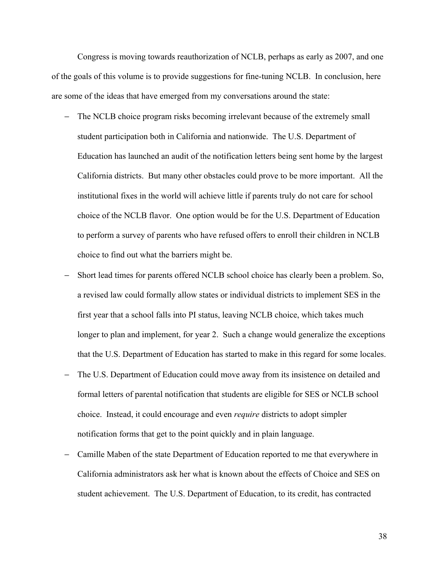Congress is moving towards reauthorization of NCLB, perhaps as early as 2007, and one of the goals of this volume is to provide suggestions for fine-tuning NCLB. In conclusion, here are some of the ideas that have emerged from my conversations around the state:

- − The NCLB choice program risks becoming irrelevant because of the extremely small student participation both in California and nationwide. The U.S. Department of Education has launched an audit of the notification letters being sent home by the largest California districts. But many other obstacles could prove to be more important. All the institutional fixes in the world will achieve little if parents truly do not care for school choice of the NCLB flavor. One option would be for the U.S. Department of Education to perform a survey of parents who have refused offers to enroll their children in NCLB choice to find out what the barriers might be.
- Short lead times for parents offered NCLB school choice has clearly been a problem. So, a revised law could formally allow states or individual districts to implement SES in the first year that a school falls into PI status, leaving NCLB choice, which takes much longer to plan and implement, for year 2. Such a change would generalize the exceptions that the U.S. Department of Education has started to make in this regard for some locales.
- − The U.S. Department of Education could move away from its insistence on detailed and formal letters of parental notification that students are eligible for SES or NCLB school choice. Instead, it could encourage and even *require* districts to adopt simpler notification forms that get to the point quickly and in plain language.
- − Camille Maben of the state Department of Education reported to me that everywhere in California administrators ask her what is known about the effects of Choice and SES on student achievement. The U.S. Department of Education, to its credit, has contracted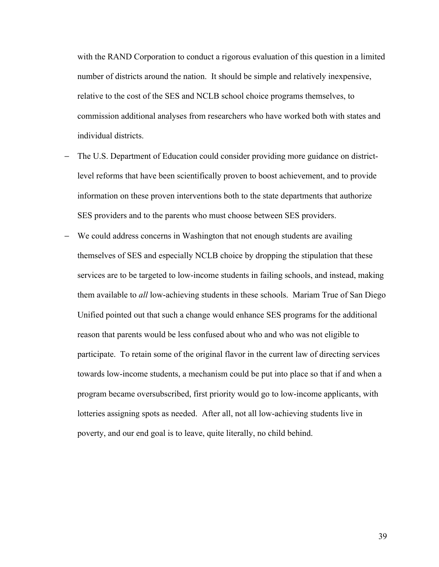with the RAND Corporation to conduct a rigorous evaluation of this question in a limited number of districts around the nation. It should be simple and relatively inexpensive, relative to the cost of the SES and NCLB school choice programs themselves, to commission additional analyses from researchers who have worked both with states and individual districts.

- The U.S. Department of Education could consider providing more guidance on districtlevel reforms that have been scientifically proven to boost achievement, and to provide information on these proven interventions both to the state departments that authorize SES providers and to the parents who must choose between SES providers.
- − We could address concerns in Washington that not enough students are availing themselves of SES and especially NCLB choice by dropping the stipulation that these services are to be targeted to low-income students in failing schools, and instead, making them available to *all* low-achieving students in these schools. Mariam True of San Diego Unified pointed out that such a change would enhance SES programs for the additional reason that parents would be less confused about who and who was not eligible to participate. To retain some of the original flavor in the current law of directing services towards low-income students, a mechanism could be put into place so that if and when a program became oversubscribed, first priority would go to low-income applicants, with lotteries assigning spots as needed. After all, not all low-achieving students live in poverty, and our end goal is to leave, quite literally, no child behind.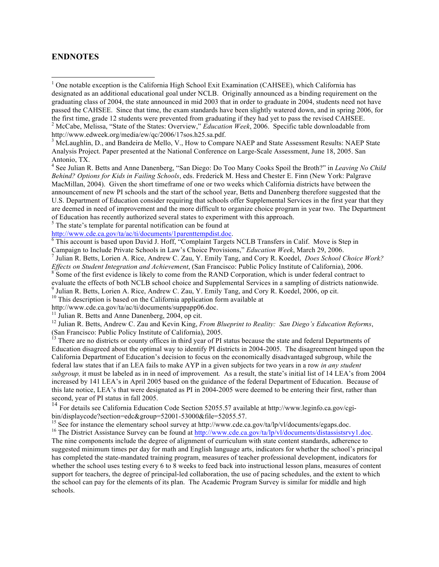### **ENDNOTES**

 $1$  One notable exception is the California High School Exit Examination (CAHSEE), which California has designated as an additional educational goal under NCLB. Originally announced as a binding requirement on the graduating class of 2004, the state announced in mid 2003 that in order to graduate in 2004, students need not have passed the CAHSEE. Since that time, the exam standards have been slightly watered down, and in spring 2006, for the first time, grade 12 students were prevented from graduating if they had yet to pass the revised CAHSEE.

<sup>2</sup> McCabe, Melissa, "State of the States: Overview," *Education Week*, 2006. Specific table downloadable from http://www.edweek.org/media/ew/qc/2006/17sos.h25.sa.pdf.<br><sup>3</sup> McLaughlin, D., and Bandeira de Mello, V., How to Compare NAEP and State Assessment Results: NAEP State

Analysis Project. Paper presented at the National Conference on Large-Scale Assessment, June 18, 2005. San Antonio, TX.

<sup>4</sup> See Julian R. Betts and Anne Danenberg, "San Diego: Do Too Many Cooks Spoil the Broth?" in *Leaving No Child Behind? Options for Kids in Failing Schools*, eds. Frederick M. Hess and Chester E. Finn (New York: Palgrave MacMillan, 2004). Given the short timeframe of one or two weeks which California districts have between the announcement of new PI schools and the start of the school year, Betts and Danenberg therefore suggested that the U.S. Department of Education consider requiring that schools offer Supplemental Services in the first year that they are deemed in need of improvement and the more difficult to organize choice program in year two. The Department of Education has recently authorized several states to experiment with this approach.

<sup>5</sup> The state's template for parental notification can be found at http://www.cde.ca.gov/ta/ac/ti/documents/1parenttempdist.doc.

 $\overline{6}$  This account is based upon David J. Hoff, "Complaint Targets NCLB Transfers in Calif. Move is Step in

Campaign to Include Private Schools in Law's Choice Provisions," *Education Week*, March 29, 2006.<br><sup>7</sup> Julian R. Betts, Lorien A. Rice, Andrew C. Zau, Y. Emily Tang, and Cory R. Koedel, *Does School Choice Work?*<br>*Effects* 

<sup>8</sup> Some of the first evidence is likely to come from the RAND Corporation, which is under federal contract to

evaluate the effects of both NCLB school choice and Supplemental Services in a sampling of districts nationwide.<br><sup>9</sup> Julian R. Betts, Lorien A. Rice, Andrew C. Zau, Y. Emily Tang, and Cory R. Koedel, 2006, op cit.<br><sup>10</sup> Thi

<sup>11</sup> Julian R. Betts and Anne Danenberg, 2004, op cit.<br><sup>12</sup> Julian R. Betts, Andrew C. Zau and Kevin King, *From Blueprint to Reality: San Diego's Education Reforms*, (San Francisco: Public Policy Institute of California),

<sup>13</sup> There are no districts or county offices in third year of PI status because the state and federal Departments of Education disagreed about the optimal way to identify PI districts in 2004-2005. The disagreement hinged upon the California Department of Education's decision to focus on the economically disadvantaged subgroup, while the federal law states that if an LEA fails to make AYP in a given subjects for two years in a row *in any student subgroup,* it must be labeled as in in need of improvement*.* As a result, the state's initial list of 14 LEA's from 2004 increased by 141 LEA's in April 2005 based on the guidance of the federal Department of Education. Because of this late notice, LEA's that were designated as PI in 2004-2005 were deemed to be entering their first, rather than second, year of PI status in fall 2005.

<sup>14</sup> For details see California Education Code Section 52055.57 available at http://www.leginfo.ca.gov/cgibin/displaycode?section=edc&group=52001-53000&file=52055.57.<br><sup>15</sup> See for instance the elementary school survey at http://www.cde.ca.gov/ta/lp/vl/documents/egaps.doc.<br><sup>16</sup> The District Assistance Survey can be found at htt

The nine components include the degree of alignment of curriculum with state content standards, adherence to suggested minimum times per day for math and English language arts, indicators for whether the school's principal has completed the state-mandated training program, measures of teacher professional development, indicators for whether the school uses testing every 6 to 8 weeks to feed back into instructional lesson plans, measures of content support for teachers, the degree of principal-led collaboration, the use of pacing schedules, and the extent to which the school can pay for the elements of its plan. The Academic Program Survey is similar for middle and high schools.